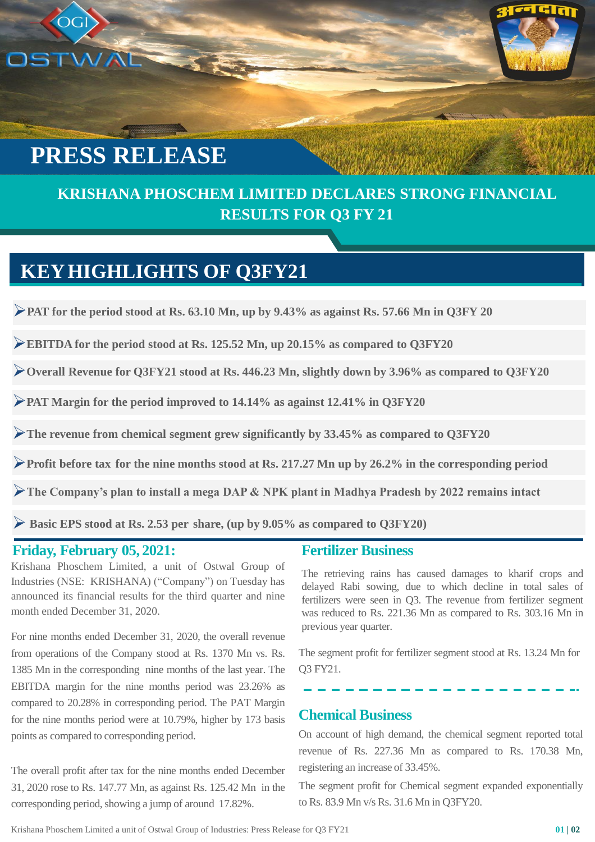# **PRESS RELEASE**

OGI

### **KRISHANA PHOSCHEM LIMITED DECLARES STRONG FINANCIAL RESULTS FOR Q3 FY 21**

### **KEYHIGHLIGHTS OF Q3FY21**

NAL SE

➢**PAT for the period stood at Rs. 63.10 Mn, up by 9.43% as against Rs. 57.66 Mn in Q3FY 20**

➢**EBITDA for the period stood at Rs. 125.52 Mn, up 20.15% as compared to Q3FY20**

➢**Overall Revenue for Q3FY21 stood at Rs. 446.23 Mn, slightly down by 3.96% as compared to Q3FY20**

➢**PAT Margin for the period improved to 14.14% as against 12.41% in Q3FY20**

➢**The revenue from chemical segment grew significantly by 33.45% as compared to Q3FY20**

➢**Profit before tax for the nine months stood at Rs. 217.27 Mn up by 26.2% in the corresponding period**

➢**The Company's plan to install a mega DAP & NPK plant in Madhya Pradesh by 2022 remains intact**

➢ **Basic EPS stood at Rs. 2.53 per share, (up by 9.05% as compared to Q3FY20)**

#### **Friday, February 05, 2021:**

Krishana Phoschem Limited, a unit of Ostwal Group of Industries (NSE: KRISHANA) ("Company") on Tuesday has announced its financial results for the third quarter and nine month ended December 31, 2020.

For nine months ended December 31, 2020, the overall revenue from operations of the Company stood at Rs. 1370 Mn vs. Rs. 1385 Mn in the corresponding nine months of the last year. The EBITDA margin for the nine months period was 23.26% as compared to 20.28% in corresponding period. The PAT Margin for the nine months period were at 10.79%, higher by 173 basis points as compared to corresponding period.

The overall profit after tax for the nine months ended December 31, 2020 rose to Rs. 147.77 Mn, as against Rs. 125.42 Mn in the corresponding period, showing a jump of around 17.82%.

#### **Fertilizer Business**

The retrieving rains has caused damages to kharif crops and delayed Rabi sowing, due to which decline in total sales of fertilizers were seen in Q3. The revenue from fertilizer segment was reduced to Rs. 221.36 Mn as compared to Rs. 303.16 Mn in previous year quarter.

The segment profit for fertilizer segment stood at Rs. 13.24 Mn for Q3 FY21.

#### **Chemical Business**

On account of high demand, the chemical segment reported total revenue of Rs. 227.36 Mn as compared to Rs. 170.38 Mn, registering an increase of 33.45%.

The segment profit for Chemical segment expanded exponentially to Rs. 83.9 Mn v/s Rs. 31.6 Mn in Q3FY20.